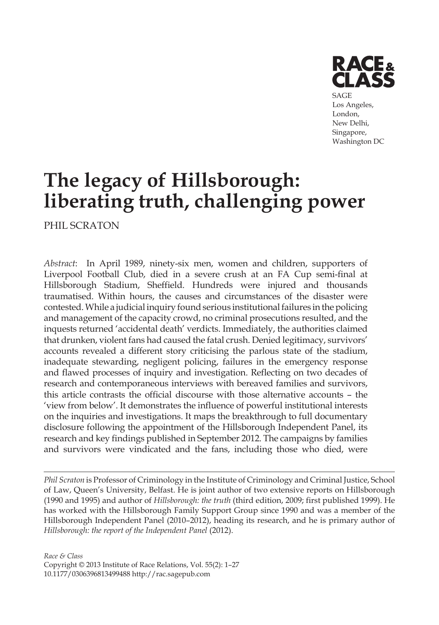

SAGE Los Angeles, London, New Delhi, Singapore, Washington DC

# **The legacy of Hillsborough: liberating truth, challenging power**

PHIL SCRATON

*Abstract*: In April 1989, ninety-six men, women and children, supporters of Liverpool Football Club, died in a severe crush at an FA Cup semi-final at Hillsborough Stadium, Sheffield. Hundreds were injured and thousands traumatised. Within hours, the causes and circumstances of the disaster were contested. While a judicial inquiry found serious institutional failures in the policing and management of the capacity crowd, no criminal prosecutions resulted, and the inquests returned 'accidental death' verdicts. Immediately, the authorities claimed that drunken, violent fans had caused the fatal crush. Denied legitimacy, survivors' accounts revealed a different story criticising the parlous state of the stadium, inadequate stewarding, negligent policing, failures in the emergency response and flawed processes of inquiry and investigation. Reflecting on two decades of research and contemporaneous interviews with bereaved families and survivors, this article contrasts the official discourse with those alternative accounts – the 'view from below'. It demonstrates the influence of powerful institutional interests on the inquiries and investigations. It maps the breakthrough to full documentary disclosure following the appointment of the Hillsborough Independent Panel, its research and key findings published in September 2012. The campaigns by families and survivors were vindicated and the fans, including those who died, were

*Phil Scraton* is Professor of Criminology in the Institute of Criminology and Criminal Justice, School of Law, Queen's University, Belfast. He is joint author of two extensive reports on Hillsborough (1990 and 1995) and author of *Hillsborough: the truth* (third edition, 2009; first published 1999). He has worked with the Hillsborough Family Support Group since 1990 and was a member of the Hillsborough Independent Panel (2010–2012), heading its research, and he is primary author of *Hillsborough: the report of the Independent Panel* (2012).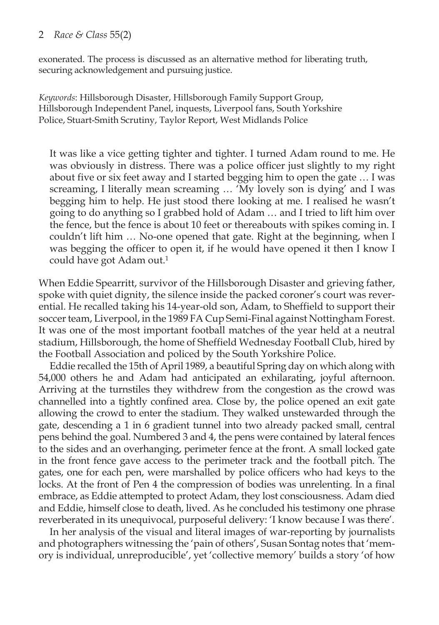exonerated. The process is discussed as an alternative method for liberating truth, securing acknowledgement and pursuing justice.

*Keywords*: Hillsborough Disaster, Hillsborough Family Support Group, Hillsborough Independent Panel, inquests, Liverpool fans, South Yorkshire Police, Stuart-Smith Scrutiny, Taylor Report, West Midlands Police

It was like a vice getting tighter and tighter. I turned Adam round to me. He was obviously in distress. There was a police officer just slightly to my right about five or six feet away and I started begging him to open the gate … I was screaming, I literally mean screaming … 'My lovely son is dying' and I was begging him to help. He just stood there looking at me. I realised he wasn't going to do anything so I grabbed hold of Adam … and I tried to lift him over the fence, but the fence is about 10 feet or thereabouts with spikes coming in. I couldn't lift him … No-one opened that gate. Right at the beginning, when I was begging the officer to open it, if he would have opened it then I know I could have got Adam out.<sup>1</sup>

When Eddie Spearritt, survivor of the Hillsborough Disaster and grieving father, spoke with quiet dignity, the silence inside the packed coroner's court was reverential. He recalled taking his 14-year-old son, Adam, to Sheffield to support their soccer team, Liverpool, in the 1989 FA Cup Semi-Final against Nottingham Forest. It was one of the most important football matches of the year held at a neutral stadium, Hillsborough, the home of Sheffield Wednesday Football Club, hired by the Football Association and policed by the South Yorkshire Police.

Eddie recalled the 15th of April 1989, a beautiful Spring day on which along with 54,000 others he and Adam had anticipated an exhilarating, joyful afternoon. Arriving at the turnstiles they withdrew from the congestion as the crowd was channelled into a tightly confined area. Close by, the police opened an exit gate allowing the crowd to enter the stadium. They walked unstewarded through the gate, descending a 1 in 6 gradient tunnel into two already packed small, central pens behind the goal. Numbered 3 and 4, the pens were contained by lateral fences to the sides and an overhanging, perimeter fence at the front. A small locked gate in the front fence gave access to the perimeter track and the football pitch. The gates, one for each pen, were marshalled by police officers who had keys to the locks. At the front of Pen 4 the compression of bodies was unrelenting. In a final embrace, as Eddie attempted to protect Adam, they lost consciousness. Adam died and Eddie, himself close to death, lived. As he concluded his testimony one phrase reverberated in its unequivocal, purposeful delivery: 'I know because I was there'.

In her analysis of the visual and literal images of war-reporting by journalists and photographers witnessing the 'pain of others', Susan Sontag notes that 'memory is individual, unreproducible', yet 'collective memory' builds a story 'of how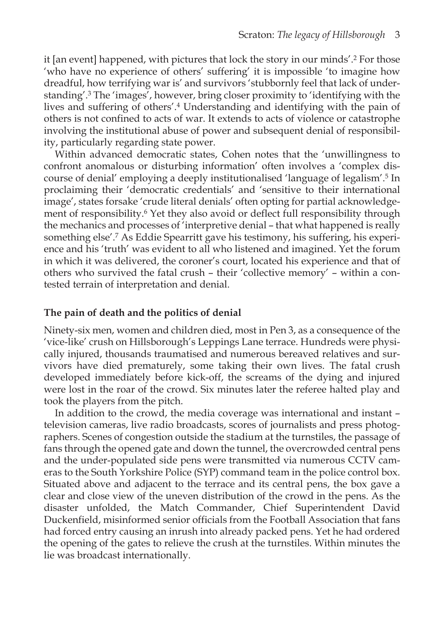it [an event] happened, with pictures that lock the story in our minds'.2 For those 'who have no experience of others' suffering' it is impossible 'to imagine how dreadful, how terrifying war is' and survivors 'stubbornly feel that lack of understanding'.3 The 'images', however, bring closer proximity to 'identifying with the lives and suffering of others'.4 Understanding and identifying with the pain of others is not confined to acts of war. It extends to acts of violence or catastrophe involving the institutional abuse of power and subsequent denial of responsibility, particularly regarding state power.

Within advanced democratic states, Cohen notes that the 'unwillingness to confront anomalous or disturbing information' often involves a 'complex discourse of denial' employing a deeply institutionalised 'language of legalism'.5 In proclaiming their 'democratic credentials' and 'sensitive to their international image', states forsake 'crude literal denials' often opting for partial acknowledgement of responsibility.<sup>6</sup> Yet they also avoid or deflect full responsibility through the mechanics and processes of 'interpretive denial – that what happened is really something else'.7 As Eddie Spearritt gave his testimony, his suffering, his experience and his 'truth' was evident to all who listened and imagined. Yet the forum in which it was delivered, the coroner's court, located his experience and that of others who survived the fatal crush – their 'collective memory' – within a contested terrain of interpretation and denial.

## **The pain of death and the politics of denial**

Ninety-six men, women and children died, most in Pen 3, as a consequence of the 'vice-like' crush on Hillsborough's Leppings Lane terrace. Hundreds were physically injured, thousands traumatised and numerous bereaved relatives and survivors have died prematurely, some taking their own lives. The fatal crush developed immediately before kick-off, the screams of the dying and injured were lost in the roar of the crowd. Six minutes later the referee halted play and took the players from the pitch.

In addition to the crowd, the media coverage was international and instant – television cameras, live radio broadcasts, scores of journalists and press photographers. Scenes of congestion outside the stadium at the turnstiles, the passage of fans through the opened gate and down the tunnel, the overcrowded central pens and the under-populated side pens were transmitted via numerous CCTV cameras to the South Yorkshire Police (SYP) command team in the police control box. Situated above and adjacent to the terrace and its central pens, the box gave a clear and close view of the uneven distribution of the crowd in the pens. As the disaster unfolded, the Match Commander, Chief Superintendent David Duckenfield, misinformed senior officials from the Football Association that fans had forced entry causing an inrush into already packed pens. Yet he had ordered the opening of the gates to relieve the crush at the turnstiles. Within minutes the lie was broadcast internationally.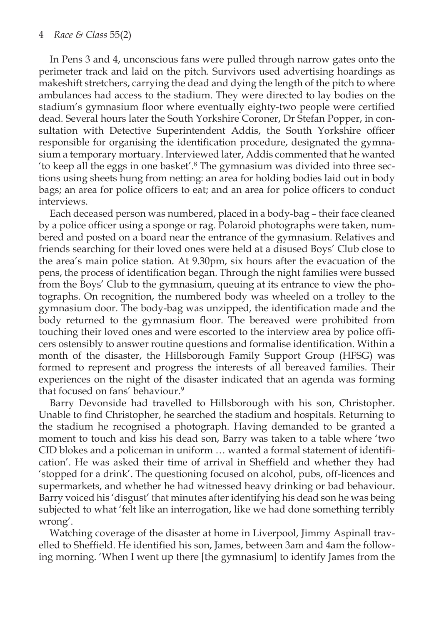In Pens 3 and 4, unconscious fans were pulled through narrow gates onto the perimeter track and laid on the pitch. Survivors used advertising hoardings as makeshift stretchers, carrying the dead and dying the length of the pitch to where ambulances had access to the stadium. They were directed to lay bodies on the stadium's gymnasium floor where eventually eighty-two people were certified dead. Several hours later the South Yorkshire Coroner, Dr Stefan Popper, in consultation with Detective Superintendent Addis, the South Yorkshire officer responsible for organising the identification procedure, designated the gymnasium a temporary mortuary. Interviewed later, Addis commented that he wanted 'to keep all the eggs in one basket'.8 The gymnasium was divided into three sections using sheets hung from netting: an area for holding bodies laid out in body bags; an area for police officers to eat; and an area for police officers to conduct interviews.

Each deceased person was numbered, placed in a body-bag – their face cleaned by a police officer using a sponge or rag. Polaroid photographs were taken, numbered and posted on a board near the entrance of the gymnasium. Relatives and friends searching for their loved ones were held at a disused Boys' Club close to the area's main police station. At 9.30pm, six hours after the evacuation of the pens, the process of identification began. Through the night families were bussed from the Boys' Club to the gymnasium, queuing at its entrance to view the photographs. On recognition, the numbered body was wheeled on a trolley to the gymnasium door. The body-bag was unzipped, the identification made and the body returned to the gymnasium floor. The bereaved were prohibited from touching their loved ones and were escorted to the interview area by police officers ostensibly to answer routine questions and formalise identification. Within a month of the disaster, the Hillsborough Family Support Group (HFSG) was formed to represent and progress the interests of all bereaved families. Their experiences on the night of the disaster indicated that an agenda was forming that focused on fans' behaviour.9

Barry Devonside had travelled to Hillsborough with his son, Christopher. Unable to find Christopher, he searched the stadium and hospitals. Returning to the stadium he recognised a photograph. Having demanded to be granted a moment to touch and kiss his dead son, Barry was taken to a table where 'two CID blokes and a policeman in uniform … wanted a formal statement of identification'. He was asked their time of arrival in Sheffield and whether they had 'stopped for a drink'. The questioning focused on alcohol, pubs, off-licences and supermarkets, and whether he had witnessed heavy drinking or bad behaviour. Barry voiced his 'disgust' that minutes after identifying his dead son he was being subjected to what 'felt like an interrogation, like we had done something terribly wrong'.

Watching coverage of the disaster at home in Liverpool, Jimmy Aspinall travelled to Sheffield. He identified his son, James, between 3am and 4am the following morning. 'When I went up there [the gymnasium] to identify James from the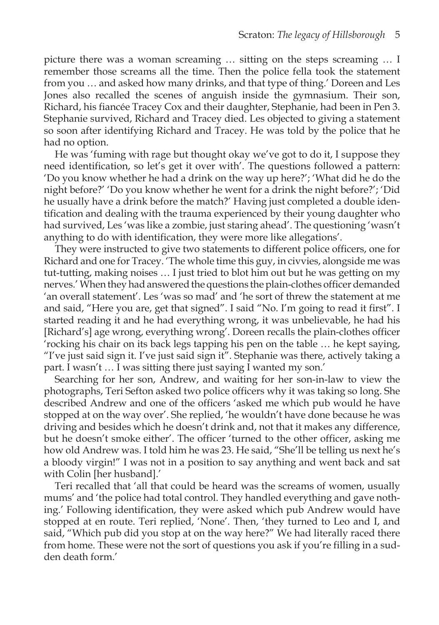picture there was a woman screaming … sitting on the steps screaming … I remember those screams all the time. Then the police fella took the statement from you … and asked how many drinks, and that type of thing.' Doreen and Les Jones also recalled the scenes of anguish inside the gymnasium. Their son, Richard, his fiancée Tracey Cox and their daughter, Stephanie, had been in Pen 3. Stephanie survived, Richard and Tracey died. Les objected to giving a statement so soon after identifying Richard and Tracey. He was told by the police that he had no option.

He was 'fuming with rage but thought okay we've got to do it, I suppose they need identification, so let's get it over with'. The questions followed a pattern: 'Do you know whether he had a drink on the way up here?'; 'What did he do the night before?' 'Do you know whether he went for a drink the night before?'; 'Did he usually have a drink before the match?' Having just completed a double identification and dealing with the trauma experienced by their young daughter who had survived, Les 'was like a zombie, just staring ahead'. The questioning 'wasn't anything to do with identification, they were more like allegations'.

They were instructed to give two statements to different police officers, one for Richard and one for Tracey. 'The whole time this guy, in civvies, alongside me was tut-tutting, making noises … I just tried to blot him out but he was getting on my nerves.' When they had answered the questions the plain-clothes officer demanded 'an overall statement'. Les 'was so mad' and 'he sort of threw the statement at me and said, "Here you are, get that signed". I said "No. I'm going to read it first". I started reading it and he had everything wrong, it was unbelievable, he had his [Richard's] age wrong, everything wrong'. Doreen recalls the plain-clothes officer 'rocking his chair on its back legs tapping his pen on the table … he kept saying, "I've just said sign it. I've just said sign it". Stephanie was there, actively taking a part. I wasn't … I was sitting there just saying I wanted my son.'

Searching for her son, Andrew, and waiting for her son-in-law to view the photographs, Teri Sefton asked two police officers why it was taking so long. She described Andrew and one of the officers 'asked me which pub would he have stopped at on the way over'. She replied, 'he wouldn't have done because he was driving and besides which he doesn't drink and, not that it makes any difference, but he doesn't smoke either'. The officer 'turned to the other officer, asking me how old Andrew was. I told him he was 23. He said, "She'll be telling us next he's a bloody virgin!" I was not in a position to say anything and went back and sat with Colin [her husband].'

Teri recalled that 'all that could be heard was the screams of women, usually mums' and 'the police had total control. They handled everything and gave nothing.' Following identification, they were asked which pub Andrew would have stopped at en route. Teri replied, 'None'. Then, 'they turned to Leo and I, and said, "Which pub did you stop at on the way here?" We had literally raced there from home. These were not the sort of questions you ask if you're filling in a sudden death form.'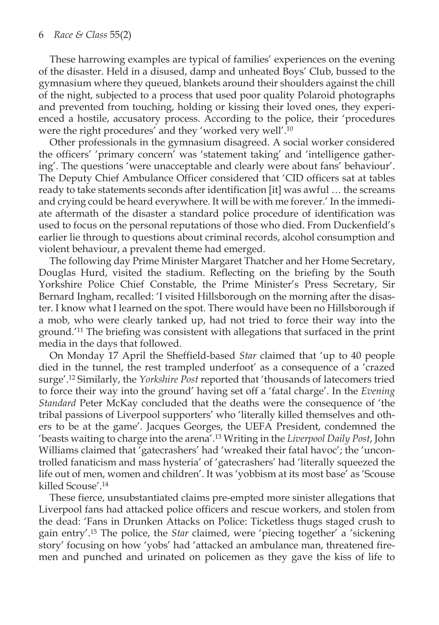These harrowing examples are typical of families' experiences on the evening of the disaster. Held in a disused, damp and unheated Boys' Club, bussed to the gymnasium where they queued, blankets around their shoulders against the chill of the night, subjected to a process that used poor quality Polaroid photographs and prevented from touching, holding or kissing their loved ones, they experienced a hostile, accusatory process. According to the police, their 'procedures were the right procedures' and they 'worked very well'.10

Other professionals in the gymnasium disagreed. A social worker considered the officers' 'primary concern' was 'statement taking' and 'intelligence gathering'. The questions 'were unacceptable and clearly were about fans' behaviour'. The Deputy Chief Ambulance Officer considered that 'CID officers sat at tables ready to take statements seconds after identification [it] was awful … the screams and crying could be heard everywhere. It will be with me forever.' In the immediate aftermath of the disaster a standard police procedure of identification was used to focus on the personal reputations of those who died. From Duckenfield's earlier lie through to questions about criminal records, alcohol consumption and violent behaviour, a prevalent theme had emerged.

The following day Prime Minister Margaret Thatcher and her Home Secretary, Douglas Hurd, visited the stadium. Reflecting on the briefing by the South Yorkshire Police Chief Constable, the Prime Minister's Press Secretary, Sir Bernard Ingham, recalled: 'I visited Hillsborough on the morning after the disaster. I know what I learned on the spot. There would have been no Hillsborough if a mob, who were clearly tanked up, had not tried to force their way into the ground.'11 The briefing was consistent with allegations that surfaced in the print media in the days that followed.

On Monday 17 April the Sheffield-based *Star* claimed that 'up to 40 people died in the tunnel, the rest trampled underfoot' as a consequence of a 'crazed surge'.12 Similarly, the *Yorkshire Post* reported that 'thousands of latecomers tried to force their way into the ground' having set off a 'fatal charge'. In the *Evening Standard* Peter McKay concluded that the deaths were the consequence of 'the tribal passions of Liverpool supporters' who 'literally killed themselves and others to be at the game'. Jacques Georges, the UEFA President, condemned the 'beasts waiting to charge into the arena'.13 Writing in the *Liverpool Daily Post*, John Williams claimed that 'gatecrashers' had 'wreaked their fatal havoc'; the 'uncontrolled fanaticism and mass hysteria' of 'gatecrashers' had 'literally squeezed the life out of men, women and children'. It was 'yobbism at its most base' as 'Scouse killed Scouse<sup>' 14</sup>

These fierce, unsubstantiated claims pre-empted more sinister allegations that Liverpool fans had attacked police officers and rescue workers, and stolen from the dead: 'Fans in Drunken Attacks on Police: Ticketless thugs staged crush to gain entry'.15 The police, the *Star* claimed, were 'piecing together' a 'sickening story' focusing on how 'yobs' had 'attacked an ambulance man, threatened firemen and punched and urinated on policemen as they gave the kiss of life to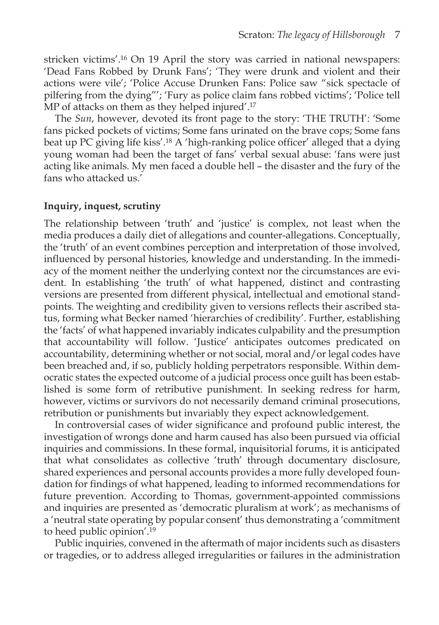stricken victims'.16 On 19 April the story was carried in national newspapers: 'Dead Fans Robbed by Drunk Fans'; 'They were drunk and violent and their actions were vile'; 'Police Accuse Drunken Fans: Police saw "sick spectacle of pilfering from the dying"'; 'Fury as police claim fans robbed victims'; 'Police tell MP of attacks on them as they helped injured'.<sup>17</sup>

The *Sun*, however, devoted its front page to the story: 'THE TRUTH': 'Some fans picked pockets of victims; Some fans urinated on the brave cops; Some fans beat up PC giving life kiss'.18 A 'high-ranking police officer' alleged that a dying young woman had been the target of fans' verbal sexual abuse: 'fans were just acting like animals. My men faced a double hell – the disaster and the fury of the fans who attacked us.'

## **Inquiry, inquest, scrutiny**

The relationship between 'truth' and 'justice' is complex, not least when the media produces a daily diet of allegations and counter-allegations. Conceptually, the 'truth' of an event combines perception and interpretation of those involved, influenced by personal histories, knowledge and understanding. In the immediacy of the moment neither the underlying context nor the circumstances are evident. In establishing 'the truth' of what happened, distinct and contrasting versions are presented from different physical, intellectual and emotional standpoints. The weighting and credibility given to versions reflects their ascribed status, forming what Becker named 'hierarchies of credibility'. Further, establishing the 'facts' of what happened invariably indicates culpability and the presumption that accountability will follow. 'Justice' anticipates outcomes predicated on accountability, determining whether or not social, moral and/or legal codes have been breached and, if so, publicly holding perpetrators responsible. Within democratic states the expected outcome of a judicial process once guilt has been established is some form of retributive punishment. In seeking redress for harm, however, victims or survivors do not necessarily demand criminal prosecutions, retribution or punishments but invariably they expect acknowledgement.

In controversial cases of wider significance and profound public interest, the investigation of wrongs done and harm caused has also been pursued via official inquiries and commissions. In these formal, inquisitorial forums, it is anticipated that what consolidates as collective 'truth' through documentary disclosure, shared experiences and personal accounts provides a more fully developed foundation for findings of what happened, leading to informed recommendations for future prevention. According to Thomas, government-appointed commissions and inquiries are presented as 'democratic pluralism at work'; as mechanisms of a 'neutral state operating by popular consent' thus demonstrating a 'commitment to heed public opinion'.19

Public inquiries, convened in the aftermath of major incidents such as disasters or tragedies, or to address alleged irregularities or failures in the administration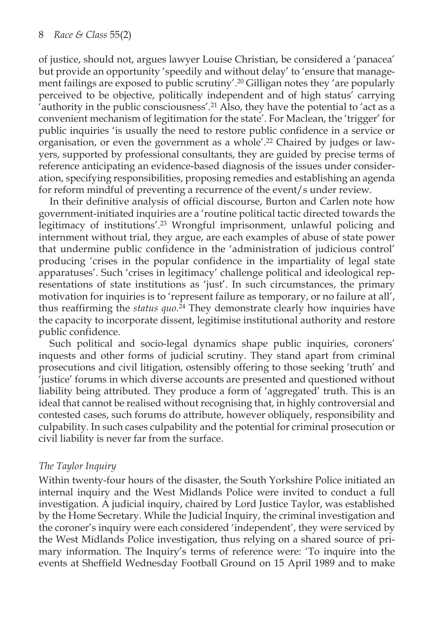of justice, should not, argues lawyer Louise Christian, be considered a 'panacea' but provide an opportunity 'speedily and without delay' to 'ensure that management failings are exposed to public scrutiny'.20 Gilligan notes they 'are popularly perceived to be objective, politically independent and of high status' carrying authority in the public consciousness'.<sup>21</sup> Also, they have the potential to 'act as a convenient mechanism of legitimation for the state'. For Maclean, the 'trigger' for public inquiries 'is usually the need to restore public confidence in a service or organisation, or even the government as a whole'.22 Chaired by judges or lawyers, supported by professional consultants, they are guided by precise terms of reference anticipating an evidence-based diagnosis of the issues under consideration, specifying responsibilities, proposing remedies and establishing an agenda for reform mindful of preventing a recurrence of the event/s under review.

In their definitive analysis of official discourse, Burton and Carlen note how government-initiated inquiries are a 'routine political tactic directed towards the legitimacy of institutions'.23 Wrongful imprisonment, unlawful policing and internment without trial, they argue, are each examples of abuse of state power that undermine public confidence in the 'administration of judicious control' producing 'crises in the popular confidence in the impartiality of legal state apparatuses'. Such 'crises in legitimacy' challenge political and ideological representations of state institutions as 'just'. In such circumstances, the primary motivation for inquiries is to 'represent failure as temporary, or no failure at all', thus reaffirming the *status quo*. <sup>24</sup> They demonstrate clearly how inquiries have the capacity to incorporate dissent, legitimise institutional authority and restore public confidence.

Such political and socio-legal dynamics shape public inquiries, coroners' inquests and other forms of judicial scrutiny. They stand apart from criminal prosecutions and civil litigation, ostensibly offering to those seeking 'truth' and 'justice' forums in which diverse accounts are presented and questioned without liability being attributed. They produce a form of 'aggregated' truth. This is an ideal that cannot be realised without recognising that, in highly controversial and contested cases, such forums do attribute, however obliquely, responsibility and culpability. In such cases culpability and the potential for criminal prosecution or civil liability is never far from the surface.

# *The Taylor Inquiry*

Within twenty-four hours of the disaster, the South Yorkshire Police initiated an internal inquiry and the West Midlands Police were invited to conduct a full investigation. A judicial inquiry, chaired by Lord Justice Taylor, was established by the Home Secretary. While the Judicial Inquiry, the criminal investigation and the coroner's inquiry were each considered 'independent', they were serviced by the West Midlands Police investigation, thus relying on a shared source of primary information. The Inquiry's terms of reference were: 'To inquire into the events at Sheffield Wednesday Football Ground on 15 April 1989 and to make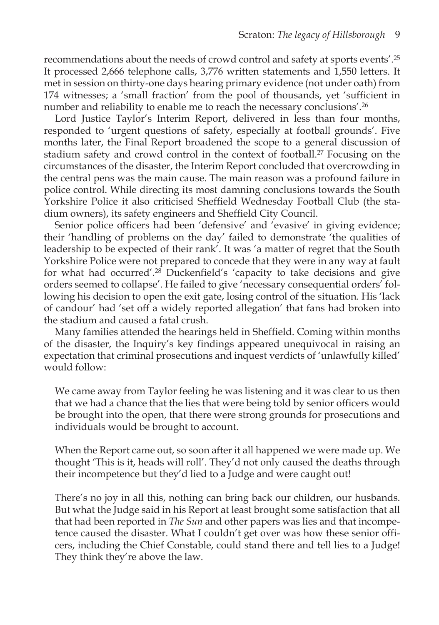recommendations about the needs of crowd control and safety at sports events'.25 It processed 2,666 telephone calls, 3,776 written statements and 1,550 letters. It met in session on thirty-one days hearing primary evidence (not under oath) from 174 witnesses; a 'small fraction' from the pool of thousands, yet 'sufficient in number and reliability to enable me to reach the necessary conclusions'.<sup>26</sup>

Lord Justice Taylor's Interim Report, delivered in less than four months, responded to 'urgent questions of safety, especially at football grounds'. Five months later, the Final Report broadened the scope to a general discussion of stadium safety and crowd control in the context of football.27 Focusing on the circumstances of the disaster, the Interim Report concluded that overcrowding in the central pens was the main cause. The main reason was a profound failure in police control. While directing its most damning conclusions towards the South Yorkshire Police it also criticised Sheffield Wednesday Football Club (the stadium owners), its safety engineers and Sheffield City Council.

Senior police officers had been 'defensive' and 'evasive' in giving evidence; their 'handling of problems on the day' failed to demonstrate 'the qualities of leadership to be expected of their rank'. It was 'a matter of regret that the South Yorkshire Police were not prepared to concede that they were in any way at fault for what had occurred'.<sup>28</sup> Duckenfield's 'capacity to take decisions and give orders seemed to collapse'. He failed to give 'necessary consequential orders' following his decision to open the exit gate, losing control of the situation. His 'lack of candour' had 'set off a widely reported allegation' that fans had broken into the stadium and caused a fatal crush.

Many families attended the hearings held in Sheffield. Coming within months of the disaster, the Inquiry's key findings appeared unequivocal in raising an expectation that criminal prosecutions and inquest verdicts of 'unlawfully killed' would follow:

We came away from Taylor feeling he was listening and it was clear to us then that we had a chance that the lies that were being told by senior officers would be brought into the open, that there were strong grounds for prosecutions and individuals would be brought to account.

When the Report came out, so soon after it all happened we were made up. We thought 'This is it, heads will roll'. They'd not only caused the deaths through their incompetence but they'd lied to a Judge and were caught out!

There's no joy in all this, nothing can bring back our children, our husbands. But what the Judge said in his Report at least brought some satisfaction that all that had been reported in *The Sun* and other papers was lies and that incompetence caused the disaster. What I couldn't get over was how these senior officers, including the Chief Constable, could stand there and tell lies to a Judge! They think they're above the law.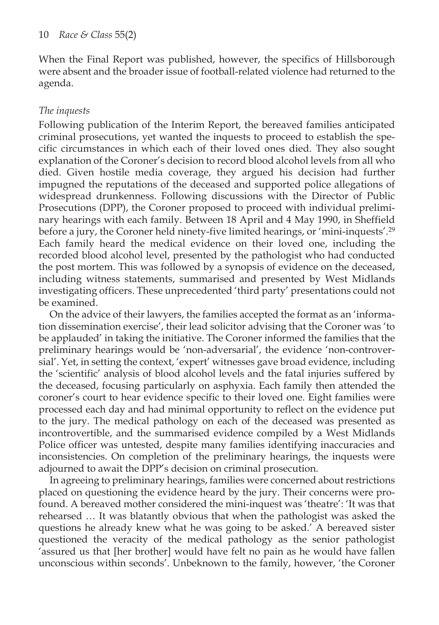When the Final Report was published, however, the specifics of Hillsborough were absent and the broader issue of football-related violence had returned to the agenda.

## *The inquests*

Following publication of the Interim Report, the bereaved families anticipated criminal prosecutions, yet wanted the inquests to proceed to establish the specific circumstances in which each of their loved ones died. They also sought explanation of the Coroner's decision to record blood alcohol levels from all who died. Given hostile media coverage, they argued his decision had further impugned the reputations of the deceased and supported police allegations of widespread drunkenness. Following discussions with the Director of Public Prosecutions (DPP), the Coroner proposed to proceed with individual preliminary hearings with each family. Between 18 April and 4 May 1990, in Sheffield before a jury, the Coroner held ninety-five limited hearings, or 'mini-inquests'.29 Each family heard the medical evidence on their loved one, including the recorded blood alcohol level, presented by the pathologist who had conducted the post mortem. This was followed by a synopsis of evidence on the deceased, including witness statements, summarised and presented by West Midlands investigating officers. These unprecedented 'third party' presentations could not be examined.

On the advice of their lawyers, the families accepted the format as an 'information dissemination exercise', their lead solicitor advising that the Coroner was 'to be applauded' in taking the initiative. The Coroner informed the families that the preliminary hearings would be 'non-adversarial', the evidence 'non-controversial'. Yet, in setting the context, 'expert' witnesses gave broad evidence, including the 'scientific' analysis of blood alcohol levels and the fatal injuries suffered by the deceased, focusing particularly on asphyxia. Each family then attended the coroner's court to hear evidence specific to their loved one. Eight families were processed each day and had minimal opportunity to reflect on the evidence put to the jury. The medical pathology on each of the deceased was presented as incontrovertible, and the summarised evidence compiled by a West Midlands Police officer was untested, despite many families identifying inaccuracies and inconsistencies. On completion of the preliminary hearings, the inquests were adjourned to await the DPP's decision on criminal prosecution.

In agreeing to preliminary hearings, families were concerned about restrictions placed on questioning the evidence heard by the jury. Their concerns were profound. A bereaved mother considered the mini-inquest was 'theatre': 'It was that rehearsed … It was blatantly obvious that when the pathologist was asked the questions he already knew what he was going to be asked.' A bereaved sister questioned the veracity of the medical pathology as the senior pathologist 'assured us that [her brother] would have felt no pain as he would have fallen unconscious within seconds'. Unbeknown to the family, however, 'the Coroner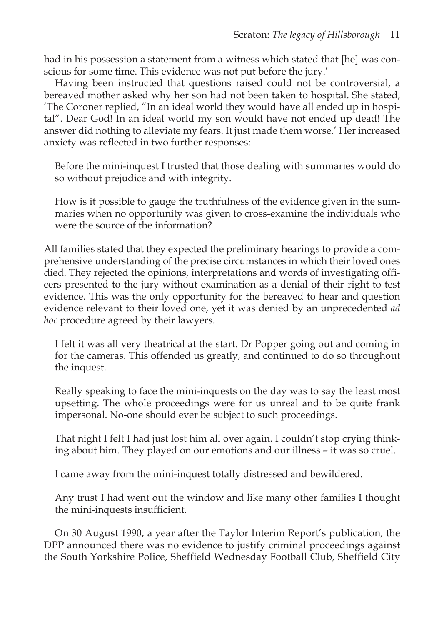had in his possession a statement from a witness which stated that [he] was conscious for some time. This evidence was not put before the jury.'

Having been instructed that questions raised could not be controversial, a bereaved mother asked why her son had not been taken to hospital. She stated, 'The Coroner replied, "In an ideal world they would have all ended up in hospital". Dear God! In an ideal world my son would have not ended up dead! The answer did nothing to alleviate my fears. It just made them worse.' Her increased anxiety was reflected in two further responses:

Before the mini-inquest I trusted that those dealing with summaries would do so without prejudice and with integrity.

How is it possible to gauge the truthfulness of the evidence given in the summaries when no opportunity was given to cross-examine the individuals who were the source of the information?

All families stated that they expected the preliminary hearings to provide a comprehensive understanding of the precise circumstances in which their loved ones died. They rejected the opinions, interpretations and words of investigating officers presented to the jury without examination as a denial of their right to test evidence. This was the only opportunity for the bereaved to hear and question evidence relevant to their loved one, yet it was denied by an unprecedented *ad hoc* procedure agreed by their lawyers.

I felt it was all very theatrical at the start. Dr Popper going out and coming in for the cameras. This offended us greatly, and continued to do so throughout the inquest.

Really speaking to face the mini-inquests on the day was to say the least most upsetting. The whole proceedings were for us unreal and to be quite frank impersonal. No-one should ever be subject to such proceedings.

That night I felt I had just lost him all over again. I couldn't stop crying thinking about him. They played on our emotions and our illness – it was so cruel.

I came away from the mini-inquest totally distressed and bewildered.

Any trust I had went out the window and like many other families I thought the mini-inquests insufficient.

On 30 August 1990, a year after the Taylor Interim Report's publication, the DPP announced there was no evidence to justify criminal proceedings against the South Yorkshire Police, Sheffield Wednesday Football Club, Sheffield City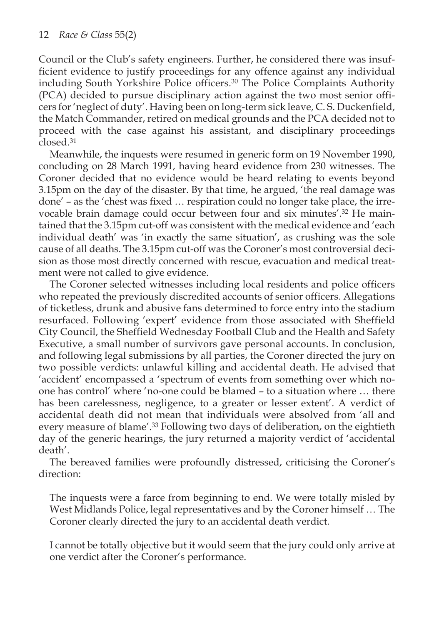Council or the Club's safety engineers. Further, he considered there was insufficient evidence to justify proceedings for any offence against any individual including South Yorkshire Police officers.30 The Police Complaints Authority (PCA) decided to pursue disciplinary action against the two most senior officers for 'neglect of duty'. Having been on long-term sick leave, C. S. Duckenfield, the Match Commander, retired on medical grounds and the PCA decided not to proceed with the case against his assistant, and disciplinary proceedings closed.31

Meanwhile, the inquests were resumed in generic form on 19 November 1990, concluding on 28 March 1991, having heard evidence from 230 witnesses. The Coroner decided that no evidence would be heard relating to events beyond 3.15pm on the day of the disaster. By that time, he argued, 'the real damage was done' – as the 'chest was fixed … respiration could no longer take place, the irrevocable brain damage could occur between four and six minutes'.32 He maintained that the 3.15pm cut-off was consistent with the medical evidence and 'each individual death' was 'in exactly the same situation', as crushing was the sole cause of all deaths. The 3.15pm cut-off was the Coroner's most controversial decision as those most directly concerned with rescue, evacuation and medical treatment were not called to give evidence.

The Coroner selected witnesses including local residents and police officers who repeated the previously discredited accounts of senior officers. Allegations of ticketless, drunk and abusive fans determined to force entry into the stadium resurfaced. Following 'expert' evidence from those associated with Sheffield City Council, the Sheffield Wednesday Football Club and the Health and Safety Executive, a small number of survivors gave personal accounts. In conclusion, and following legal submissions by all parties, the Coroner directed the jury on two possible verdicts: unlawful killing and accidental death. He advised that 'accident' encompassed a 'spectrum of events from something over which noone has control' where 'no-one could be blamed – to a situation where … there has been carelessness, negligence, to a greater or lesser extent'. A verdict of accidental death did not mean that individuals were absolved from 'all and every measure of blame'.33 Following two days of deliberation, on the eightieth day of the generic hearings, the jury returned a majority verdict of 'accidental death'.

The bereaved families were profoundly distressed, criticising the Coroner's direction:

The inquests were a farce from beginning to end. We were totally misled by West Midlands Police, legal representatives and by the Coroner himself … The Coroner clearly directed the jury to an accidental death verdict.

I cannot be totally objective but it would seem that the jury could only arrive at one verdict after the Coroner's performance.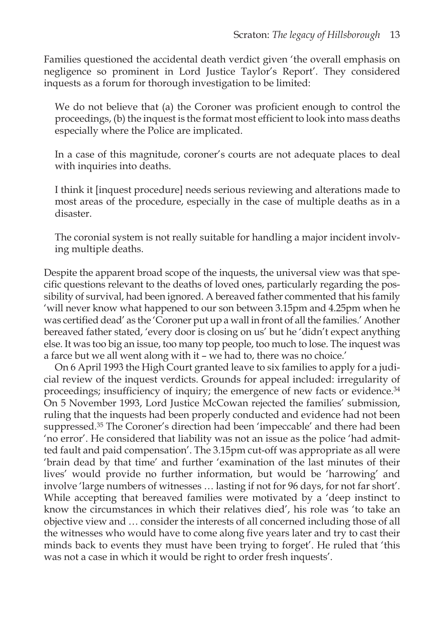Families questioned the accidental death verdict given 'the overall emphasis on negligence so prominent in Lord Justice Taylor's Report'. They considered inquests as a forum for thorough investigation to be limited:

We do not believe that (a) the Coroner was proficient enough to control the proceedings, (b) the inquest is the format most efficient to look into mass deaths especially where the Police are implicated.

In a case of this magnitude, coroner's courts are not adequate places to deal with inquiries into deaths.

I think it [inquest procedure] needs serious reviewing and alterations made to most areas of the procedure, especially in the case of multiple deaths as in a disaster.

The coronial system is not really suitable for handling a major incident involving multiple deaths.

Despite the apparent broad scope of the inquests, the universal view was that specific questions relevant to the deaths of loved ones, particularly regarding the possibility of survival, had been ignored. A bereaved father commented that his family 'will never know what happened to our son between 3.15pm and 4.25pm when he was certified dead' as the 'Coroner put up a wall in front of all the families.' Another bereaved father stated, 'every door is closing on us' but he 'didn't expect anything else. It was too big an issue, too many top people, too much to lose. The inquest was a farce but we all went along with it – we had to, there was no choice.'

On 6 April 1993 the High Court granted leave to six families to apply for a judicial review of the inquest verdicts. Grounds for appeal included: irregularity of proceedings; insufficiency of inquiry; the emergence of new facts or evidence.<sup>34</sup> On 5 November 1993, Lord Justice McCowan rejected the families' submission, ruling that the inquests had been properly conducted and evidence had not been suppressed.35 The Coroner's direction had been 'impeccable' and there had been 'no error'. He considered that liability was not an issue as the police 'had admitted fault and paid compensation'. The 3.15pm cut-off was appropriate as all were 'brain dead by that time' and further 'examination of the last minutes of their lives' would provide no further information, but would be 'harrowing' and involve 'large numbers of witnesses … lasting if not for 96 days, for not far short'. While accepting that bereaved families were motivated by a 'deep instinct to know the circumstances in which their relatives died', his role was 'to take an objective view and … consider the interests of all concerned including those of all the witnesses who would have to come along five years later and try to cast their minds back to events they must have been trying to forget'. He ruled that 'this was not a case in which it would be right to order fresh inquests'.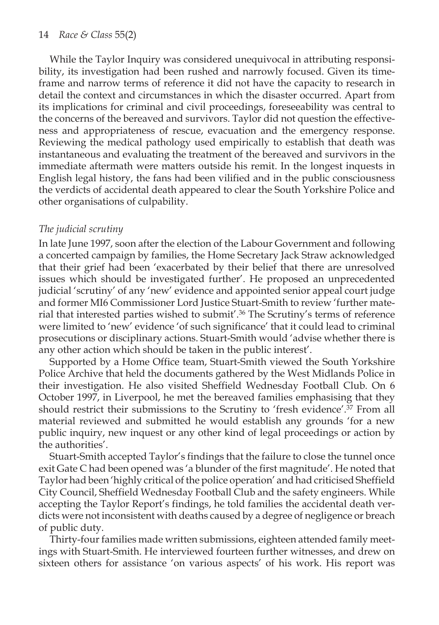While the Taylor Inquiry was considered unequivocal in attributing responsibility, its investigation had been rushed and narrowly focused. Given its timeframe and narrow terms of reference it did not have the capacity to research in detail the context and circumstances in which the disaster occurred. Apart from its implications for criminal and civil proceedings, foreseeability was central to the concerns of the bereaved and survivors. Taylor did not question the effectiveness and appropriateness of rescue, evacuation and the emergency response. Reviewing the medical pathology used empirically to establish that death was instantaneous and evaluating the treatment of the bereaved and survivors in the immediate aftermath were matters outside his remit. In the longest inquests in English legal history, the fans had been vilified and in the public consciousness the verdicts of accidental death appeared to clear the South Yorkshire Police and other organisations of culpability.

#### *The judicial scrutiny*

In late June 1997, soon after the election of the Labour Government and following a concerted campaign by families, the Home Secretary Jack Straw acknowledged that their grief had been 'exacerbated by their belief that there are unresolved issues which should be investigated further'. He proposed an unprecedented judicial 'scrutiny' of any 'new' evidence and appointed senior appeal court judge and former MI6 Commissioner Lord Justice Stuart-Smith to review 'further material that interested parties wished to submit'.36 The Scrutiny's terms of reference were limited to 'new' evidence 'of such significance' that it could lead to criminal prosecutions or disciplinary actions. Stuart-Smith would 'advise whether there is any other action which should be taken in the public interest'.

Supported by a Home Office team, Stuart-Smith viewed the South Yorkshire Police Archive that held the documents gathered by the West Midlands Police in their investigation. He also visited Sheffield Wednesday Football Club. On 6 October 1997, in Liverpool, he met the bereaved families emphasising that they should restrict their submissions to the Scrutiny to 'fresh evidence'.<sup>37</sup> From all material reviewed and submitted he would establish any grounds 'for a new public inquiry, new inquest or any other kind of legal proceedings or action by the authorities'.

Stuart-Smith accepted Taylor's findings that the failure to close the tunnel once exit Gate C had been opened was 'a blunder of the first magnitude'. He noted that Taylor had been 'highly critical of the police operation' and had criticised Sheffield City Council, Sheffield Wednesday Football Club and the safety engineers. While accepting the Taylor Report's findings, he told families the accidental death verdicts were not inconsistent with deaths caused by a degree of negligence or breach of public duty.

Thirty-four families made written submissions, eighteen attended family meetings with Stuart-Smith. He interviewed fourteen further witnesses, and drew on sixteen others for assistance 'on various aspects' of his work. His report was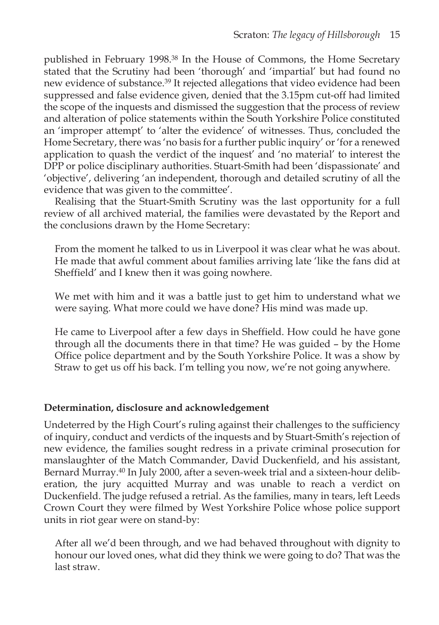published in February 1998.38 In the House of Commons, the Home Secretary stated that the Scrutiny had been 'thorough' and 'impartial' but had found no new evidence of substance.39 It rejected allegations that video evidence had been suppressed and false evidence given, denied that the 3.15pm cut-off had limited the scope of the inquests and dismissed the suggestion that the process of review and alteration of police statements within the South Yorkshire Police constituted an 'improper attempt' to 'alter the evidence' of witnesses. Thus, concluded the Home Secretary, there was 'no basis for a further public inquiry' or 'for a renewed application to quash the verdict of the inquest' and 'no material' to interest the DPP or police disciplinary authorities. Stuart-Smith had been 'dispassionate' and 'objective', delivering 'an independent, thorough and detailed scrutiny of all the evidence that was given to the committee'.

Realising that the Stuart-Smith Scrutiny was the last opportunity for a full review of all archived material, the families were devastated by the Report and the conclusions drawn by the Home Secretary:

From the moment he talked to us in Liverpool it was clear what he was about. He made that awful comment about families arriving late 'like the fans did at Sheffield' and I knew then it was going nowhere.

We met with him and it was a battle just to get him to understand what we were saying. What more could we have done? His mind was made up.

He came to Liverpool after a few days in Sheffield. How could he have gone through all the documents there in that time? He was guided – by the Home Office police department and by the South Yorkshire Police. It was a show by Straw to get us off his back. I'm telling you now, we're not going anywhere.

## **Determination, disclosure and acknowledgement**

Undeterred by the High Court's ruling against their challenges to the sufficiency of inquiry, conduct and verdicts of the inquests and by Stuart-Smith's rejection of new evidence, the families sought redress in a private criminal prosecution for manslaughter of the Match Commander, David Duckenfield, and his assistant, Bernard Murray.40 In July 2000, after a seven-week trial and a sixteen-hour deliberation, the jury acquitted Murray and was unable to reach a verdict on Duckenfield. The judge refused a retrial. As the families, many in tears, left Leeds Crown Court they were filmed by West Yorkshire Police whose police support units in riot gear were on stand-by:

After all we'd been through, and we had behaved throughout with dignity to honour our loved ones, what did they think we were going to do? That was the last straw.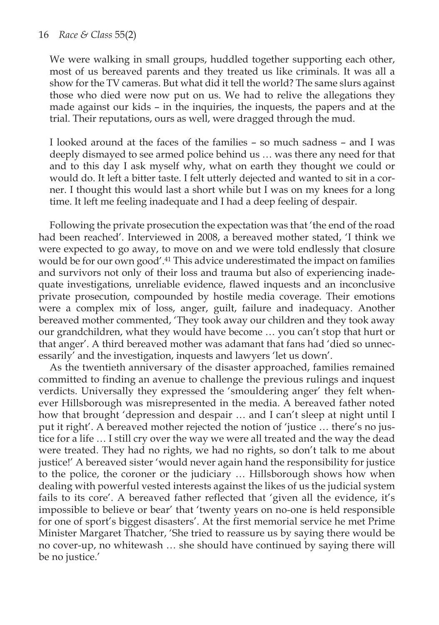We were walking in small groups, huddled together supporting each other, most of us bereaved parents and they treated us like criminals. It was all a show for the TV cameras. But what did it tell the world? The same slurs against those who died were now put on us. We had to relive the allegations they made against our kids – in the inquiries, the inquests, the papers and at the trial. Their reputations, ours as well, were dragged through the mud.

I looked around at the faces of the families – so much sadness – and I was deeply dismayed to see armed police behind us … was there any need for that and to this day I ask myself why, what on earth they thought we could or would do. It left a bitter taste. I felt utterly dejected and wanted to sit in a corner. I thought this would last a short while but I was on my knees for a long time. It left me feeling inadequate and I had a deep feeling of despair.

Following the private prosecution the expectation was that 'the end of the road had been reached'. Interviewed in 2008, a bereaved mother stated, 'I think we were expected to go away, to move on and we were told endlessly that closure would be for our own good'.41 This advice underestimated the impact on families and survivors not only of their loss and trauma but also of experiencing inadequate investigations, unreliable evidence, flawed inquests and an inconclusive private prosecution, compounded by hostile media coverage. Their emotions were a complex mix of loss, anger, guilt, failure and inadequacy. Another bereaved mother commented, 'They took away our children and they took away our grandchildren, what they would have become … you can't stop that hurt or that anger'. A third bereaved mother was adamant that fans had 'died so unnecessarily' and the investigation, inquests and lawyers 'let us down'.

As the twentieth anniversary of the disaster approached, families remained committed to finding an avenue to challenge the previous rulings and inquest verdicts. Universally they expressed the 'smouldering anger' they felt whenever Hillsborough was misrepresented in the media. A bereaved father noted how that brought 'depression and despair … and I can't sleep at night until I put it right'. A bereaved mother rejected the notion of 'justice … there's no justice for a life … I still cry over the way we were all treated and the way the dead were treated. They had no rights, we had no rights, so don't talk to me about justice!' A bereaved sister 'would never again hand the responsibility for justice to the police, the coroner or the judiciary … Hillsborough shows how when dealing with powerful vested interests against the likes of us the judicial system fails to its core'. A bereaved father reflected that 'given all the evidence, it's impossible to believe or bear' that 'twenty years on no-one is held responsible for one of sport's biggest disasters'. At the first memorial service he met Prime Minister Margaret Thatcher, 'She tried to reassure us by saying there would be no cover-up, no whitewash … she should have continued by saying there will be no justice.'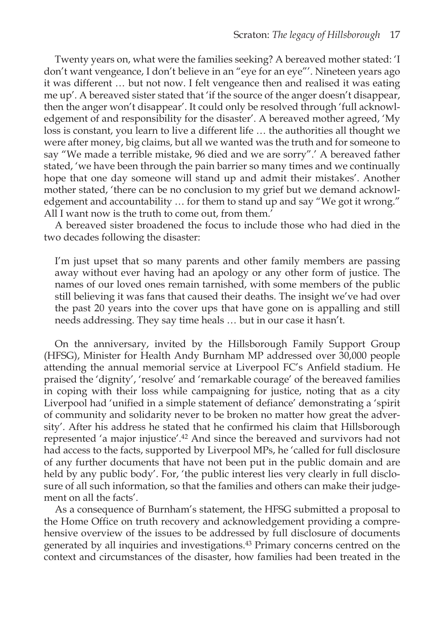Twenty years on, what were the families seeking? A bereaved mother stated: 'I don't want vengeance, I don't believe in an "eye for an eye"'. Nineteen years ago it was different … but not now. I felt vengeance then and realised it was eating me up'. A bereaved sister stated that 'if the source of the anger doesn't disappear, then the anger won't disappear'. It could only be resolved through 'full acknowledgement of and responsibility for the disaster'. A bereaved mother agreed, 'My loss is constant, you learn to live a different life … the authorities all thought we were after money, big claims, but all we wanted was the truth and for someone to say "We made a terrible mistake, 96 died and we are sorry".' A bereaved father stated, 'we have been through the pain barrier so many times and we continually hope that one day someone will stand up and admit their mistakes'. Another mother stated, 'there can be no conclusion to my grief but we demand acknowledgement and accountability … for them to stand up and say "We got it wrong." All I want now is the truth to come out, from them.'

A bereaved sister broadened the focus to include those who had died in the two decades following the disaster:

I'm just upset that so many parents and other family members are passing away without ever having had an apology or any other form of justice. The names of our loved ones remain tarnished, with some members of the public still believing it was fans that caused their deaths. The insight we've had over the past 20 years into the cover ups that have gone on is appalling and still needs addressing. They say time heals … but in our case it hasn't.

On the anniversary, invited by the Hillsborough Family Support Group (HFSG), Minister for Health Andy Burnham MP addressed over 30,000 people attending the annual memorial service at Liverpool FC's Anfield stadium. He praised the 'dignity', 'resolve' and 'remarkable courage' of the bereaved families in coping with their loss while campaigning for justice, noting that as a city Liverpool had 'unified in a simple statement of defiance' demonstrating a 'spirit of community and solidarity never to be broken no matter how great the adversity'. After his address he stated that he confirmed his claim that Hillsborough represented 'a major injustice'.42 And since the bereaved and survivors had not had access to the facts, supported by Liverpool MPs, he 'called for full disclosure of any further documents that have not been put in the public domain and are held by any public body'. For, 'the public interest lies very clearly in full disclosure of all such information, so that the families and others can make their judgement on all the facts'.

As a consequence of Burnham's statement, the HFSG submitted a proposal to the Home Office on truth recovery and acknowledgement providing a comprehensive overview of the issues to be addressed by full disclosure of documents generated by all inquiries and investigations.43 Primary concerns centred on the context and circumstances of the disaster, how families had been treated in the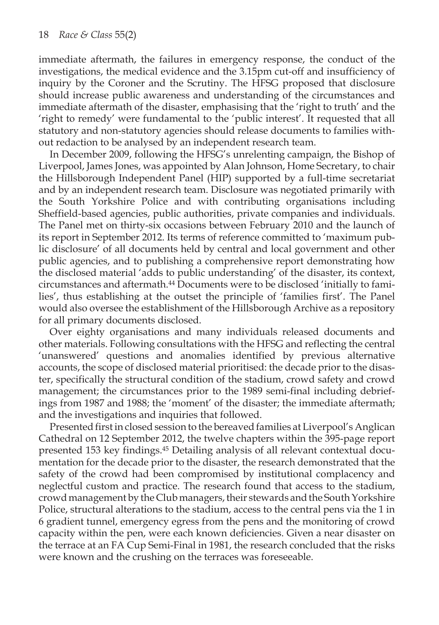immediate aftermath, the failures in emergency response, the conduct of the investigations, the medical evidence and the 3.15pm cut-off and insufficiency of inquiry by the Coroner and the Scrutiny. The HFSG proposed that disclosure should increase public awareness and understanding of the circumstances and immediate aftermath of the disaster, emphasising that the 'right to truth' and the 'right to remedy' were fundamental to the 'public interest'. It requested that all statutory and non-statutory agencies should release documents to families without redaction to be analysed by an independent research team.

In December 2009, following the HFSG's unrelenting campaign, the Bishop of Liverpool, James Jones, was appointed by Alan Johnson, Home Secretary, to chair the Hillsborough Independent Panel (HIP) supported by a full-time secretariat and by an independent research team. Disclosure was negotiated primarily with the South Yorkshire Police and with contributing organisations including Sheffield-based agencies, public authorities, private companies and individuals. The Panel met on thirty-six occasions between February 2010 and the launch of its report in September 2012. Its terms of reference committed to 'maximum public disclosure' of all documents held by central and local government and other public agencies, and to publishing a comprehensive report demonstrating how the disclosed material 'adds to public understanding' of the disaster, its context, circumstances and aftermath.44 Documents were to be disclosed 'initially to families', thus establishing at the outset the principle of 'families first'. The Panel would also oversee the establishment of the Hillsborough Archive as a repository for all primary documents disclosed.

Over eighty organisations and many individuals released documents and other materials. Following consultations with the HFSG and reflecting the central 'unanswered' questions and anomalies identified by previous alternative accounts, the scope of disclosed material prioritised: the decade prior to the disaster, specifically the structural condition of the stadium, crowd safety and crowd management; the circumstances prior to the 1989 semi-final including debriefings from 1987 and 1988; the 'moment' of the disaster; the immediate aftermath; and the investigations and inquiries that followed.

Presented first in closed session to the bereaved families at Liverpool's Anglican Cathedral on 12 September 2012, the twelve chapters within the 395-page report presented 153 key findings.45 Detailing analysis of all relevant contextual documentation for the decade prior to the disaster, the research demonstrated that the safety of the crowd had been compromised by institutional complacency and neglectful custom and practice. The research found that access to the stadium, crowd management by the Club managers, their stewards and the South Yorkshire Police, structural alterations to the stadium, access to the central pens via the 1 in 6 gradient tunnel, emergency egress from the pens and the monitoring of crowd capacity within the pen, were each known deficiencies. Given a near disaster on the terrace at an FA Cup Semi-Final in 1981, the research concluded that the risks were known and the crushing on the terraces was foreseeable.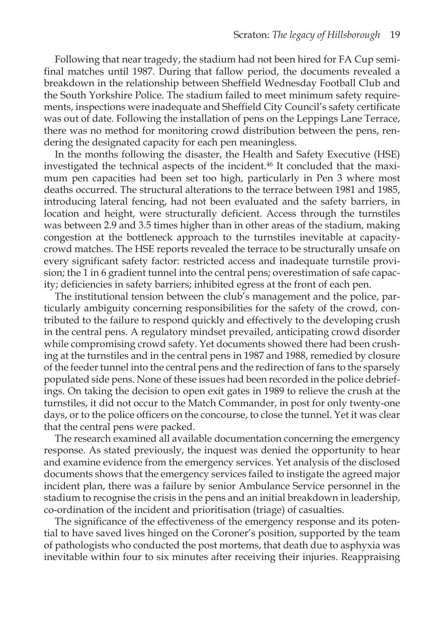Following that near tragedy, the stadium had not been hired for FA Cup semifinal matches until 1987. During that fallow period, the documents revealed a breakdown in the relationship between Sheffield Wednesday Football Club and the South Yorkshire Police. The stadium failed to meet minimum safety requirements, inspections were inadequate and Sheffield City Council's safety certificate was out of date. Following the installation of pens on the Leppings Lane Terrace, there was no method for monitoring crowd distribution between the pens, rendering the designated capacity for each pen meaningless.

In the months following the disaster, the Health and Safety Executive (HSE) investigated the technical aspects of the incident.46 It concluded that the maximum pen capacities had been set too high, particularly in Pen 3 where most deaths occurred. The structural alterations to the terrace between 1981 and 1985, introducing lateral fencing, had not been evaluated and the safety barriers, in location and height, were structurally deficient. Access through the turnstiles was between 2.9 and 3.5 times higher than in other areas of the stadium, making congestion at the bottleneck approach to the turnstiles inevitable at capacitycrowd matches. The HSE reports revealed the terrace to be structurally unsafe on every significant safety factor: restricted access and inadequate turnstile provision; the 1 in 6 gradient tunnel into the central pens; overestimation of safe capacity; deficiencies in safety barriers; inhibited egress at the front of each pen.

The institutional tension between the club's management and the police, particularly ambiguity concerning responsibilities for the safety of the crowd, contributed to the failure to respond quickly and effectively to the developing crush in the central pens. A regulatory mindset prevailed, anticipating crowd disorder while compromising crowd safety. Yet documents showed there had been crushing at the turnstiles and in the central pens in 1987 and 1988, remedied by closure of the feeder tunnel into the central pens and the redirection of fans to the sparsely populated side pens. None of these issues had been recorded in the police debriefings. On taking the decision to open exit gates in 1989 to relieve the crush at the turnstiles, it did not occur to the Match Commander, in post for only twenty-one days, or to the police officers on the concourse, to close the tunnel. Yet it was clear that the central pens were packed.

The research examined all available documentation concerning the emergency response. As stated previously, the inquest was denied the opportunity to hear and examine evidence from the emergency services. Yet analysis of the disclosed documents shows that the emergency services failed to instigate the agreed major incident plan, there was a failure by senior Ambulance Service personnel in the stadium to recognise the crisis in the pens and an initial breakdown in leadership, co-ordination of the incident and prioritisation (triage) of casualties.

The significance of the effectiveness of the emergency response and its potential to have saved lives hinged on the Coroner's position, supported by the team of pathologists who conducted the post mortems, that death due to asphyxia was inevitable within four to six minutes after receiving their injuries. Reappraising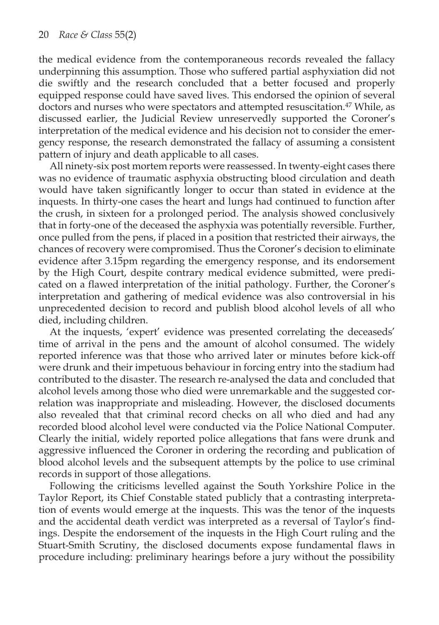the medical evidence from the contemporaneous records revealed the fallacy underpinning this assumption. Those who suffered partial asphyxiation did not die swiftly and the research concluded that a better focused and properly equipped response could have saved lives. This endorsed the opinion of several doctors and nurses who were spectators and attempted resuscitation.47 While, as discussed earlier, the Judicial Review unreservedly supported the Coroner's interpretation of the medical evidence and his decision not to consider the emergency response, the research demonstrated the fallacy of assuming a consistent pattern of injury and death applicable to all cases.

All ninety-six post mortem reports were reassessed. In twenty-eight cases there was no evidence of traumatic asphyxia obstructing blood circulation and death would have taken significantly longer to occur than stated in evidence at the inquests. In thirty-one cases the heart and lungs had continued to function after the crush, in sixteen for a prolonged period. The analysis showed conclusively that in forty-one of the deceased the asphyxia was potentially reversible. Further, once pulled from the pens, if placed in a position that restricted their airways, the chances of recovery were compromised. Thus the Coroner's decision to eliminate evidence after 3.15pm regarding the emergency response, and its endorsement by the High Court, despite contrary medical evidence submitted, were predicated on a flawed interpretation of the initial pathology. Further, the Coroner's interpretation and gathering of medical evidence was also controversial in his unprecedented decision to record and publish blood alcohol levels of all who died, including children.

At the inquests, 'expert' evidence was presented correlating the deceaseds' time of arrival in the pens and the amount of alcohol consumed. The widely reported inference was that those who arrived later or minutes before kick-off were drunk and their impetuous behaviour in forcing entry into the stadium had contributed to the disaster. The research re-analysed the data and concluded that alcohol levels among those who died were unremarkable and the suggested correlation was inappropriate and misleading. However, the disclosed documents also revealed that that criminal record checks on all who died and had any recorded blood alcohol level were conducted via the Police National Computer. Clearly the initial, widely reported police allegations that fans were drunk and aggressive influenced the Coroner in ordering the recording and publication of blood alcohol levels and the subsequent attempts by the police to use criminal records in support of those allegations.

Following the criticisms levelled against the South Yorkshire Police in the Taylor Report, its Chief Constable stated publicly that a contrasting interpretation of events would emerge at the inquests. This was the tenor of the inquests and the accidental death verdict was interpreted as a reversal of Taylor's findings. Despite the endorsement of the inquests in the High Court ruling and the Stuart-Smith Scrutiny, the disclosed documents expose fundamental flaws in procedure including: preliminary hearings before a jury without the possibility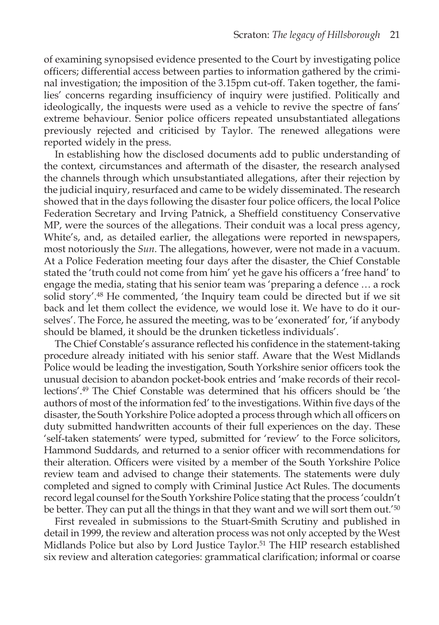of examining synopsised evidence presented to the Court by investigating police officers; differential access between parties to information gathered by the criminal investigation; the imposition of the 3.15pm cut-off. Taken together, the families' concerns regarding insufficiency of inquiry were justified. Politically and ideologically, the inquests were used as a vehicle to revive the spectre of fans' extreme behaviour. Senior police officers repeated unsubstantiated allegations previously rejected and criticised by Taylor. The renewed allegations were reported widely in the press.

In establishing how the disclosed documents add to public understanding of the context, circumstances and aftermath of the disaster, the research analysed the channels through which unsubstantiated allegations, after their rejection by the judicial inquiry, resurfaced and came to be widely disseminated. The research showed that in the days following the disaster four police officers, the local Police Federation Secretary and Irving Patnick, a Sheffield constituency Conservative MP, were the sources of the allegations. Their conduit was a local press agency, White's, and, as detailed earlier, the allegations were reported in newspapers, most notoriously the *Sun*. The allegations, however, were not made in a vacuum. At a Police Federation meeting four days after the disaster, the Chief Constable stated the 'truth could not come from him' yet he gave his officers a 'free hand' to engage the media, stating that his senior team was 'preparing a defence … a rock solid story'.48 He commented, 'the Inquiry team could be directed but if we sit back and let them collect the evidence, we would lose it. We have to do it ourselves'. The Force, he assured the meeting, was to be 'exonerated' for, 'if anybody should be blamed, it should be the drunken ticketless individuals'.

The Chief Constable's assurance reflected his confidence in the statement-taking procedure already initiated with his senior staff. Aware that the West Midlands Police would be leading the investigation, South Yorkshire senior officers took the unusual decision to abandon pocket-book entries and 'make records of their recollections'.49 The Chief Constable was determined that his officers should be 'the authors of most of the information fed' to the investigations. Within five days of the disaster, the South Yorkshire Police adopted a process through which all officers on duty submitted handwritten accounts of their full experiences on the day. These 'self-taken statements' were typed, submitted for 'review' to the Force solicitors, Hammond Suddards, and returned to a senior officer with recommendations for their alteration. Officers were visited by a member of the South Yorkshire Police review team and advised to change their statements. The statements were duly completed and signed to comply with Criminal Justice Act Rules. The documents record legal counsel for the South Yorkshire Police stating that the process 'couldn't be better. They can put all the things in that they want and we will sort them out.'50

First revealed in submissions to the Stuart-Smith Scrutiny and published in detail in 1999, the review and alteration process was not only accepted by the West Midlands Police but also by Lord Justice Taylor.<sup>51</sup> The HIP research established six review and alteration categories: grammatical clarification; informal or coarse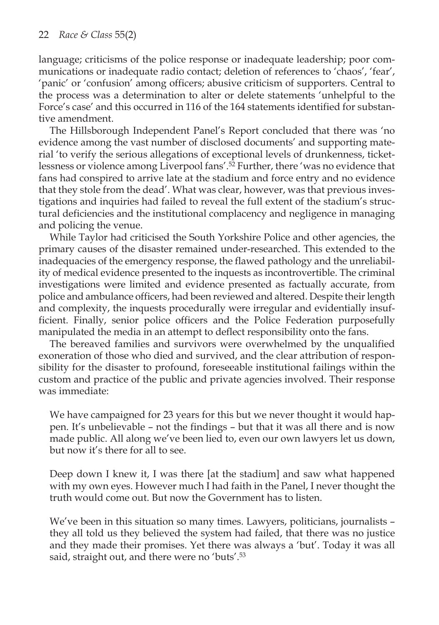language; criticisms of the police response or inadequate leadership; poor communications or inadequate radio contact; deletion of references to 'chaos', 'fear', 'panic' or 'confusion' among officers; abusive criticism of supporters. Central to the process was a determination to alter or delete statements 'unhelpful to the Force's case' and this occurred in 116 of the 164 statements identified for substantive amendment.

The Hillsborough Independent Panel's Report concluded that there was 'no evidence among the vast number of disclosed documents' and supporting material 'to verify the serious allegations of exceptional levels of drunkenness, ticketlessness or violence among Liverpool fans'.52 Further, there 'was no evidence that fans had conspired to arrive late at the stadium and force entry and no evidence that they stole from the dead'. What was clear, however, was that previous investigations and inquiries had failed to reveal the full extent of the stadium's structural deficiencies and the institutional complacency and negligence in managing and policing the venue.

While Taylor had criticised the South Yorkshire Police and other agencies, the primary causes of the disaster remained under-researched. This extended to the inadequacies of the emergency response, the flawed pathology and the unreliability of medical evidence presented to the inquests as incontrovertible. The criminal investigations were limited and evidence presented as factually accurate, from police and ambulance officers, had been reviewed and altered. Despite their length and complexity, the inquests procedurally were irregular and evidentially insufficient. Finally, senior police officers and the Police Federation purposefully manipulated the media in an attempt to deflect responsibility onto the fans.

The bereaved families and survivors were overwhelmed by the unqualified exoneration of those who died and survived, and the clear attribution of responsibility for the disaster to profound, foreseeable institutional failings within the custom and practice of the public and private agencies involved. Their response was immediate:

We have campaigned for 23 years for this but we never thought it would happen. It's unbelievable – not the findings – but that it was all there and is now made public. All along we've been lied to, even our own lawyers let us down, but now it's there for all to see.

Deep down I knew it, I was there [at the stadium] and saw what happened with my own eyes. However much I had faith in the Panel, I never thought the truth would come out. But now the Government has to listen.

We've been in this situation so many times. Lawyers, politicians, journalists – they all told us they believed the system had failed, that there was no justice and they made their promises. Yet there was always a 'but'. Today it was all said, straight out, and there were no 'buts'.<sup>53</sup>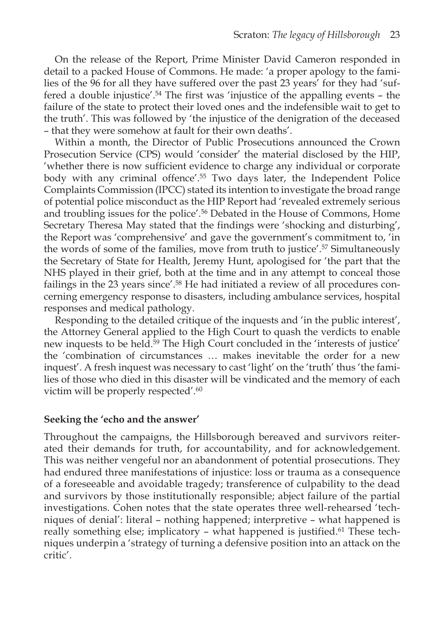On the release of the Report, Prime Minister David Cameron responded in detail to a packed House of Commons. He made: 'a proper apology to the families of the 96 for all they have suffered over the past 23 years' for they had 'suffered a double injustice'.54 The first was 'injustice of the appalling events – the failure of the state to protect their loved ones and the indefensible wait to get to the truth'. This was followed by 'the injustice of the denigration of the deceased – that they were somehow at fault for their own deaths'.

Within a month, the Director of Public Prosecutions announced the Crown Prosecution Service (CPS) would 'consider' the material disclosed by the HIP, 'whether there is now sufficient evidence to charge any individual or corporate body with any criminal offence'.55 Two days later, the Independent Police Complaints Commission (IPCC) stated its intention to investigate the broad range of potential police misconduct as the HIP Report had 'revealed extremely serious and troubling issues for the police'.56 Debated in the House of Commons, Home Secretary Theresa May stated that the findings were 'shocking and disturbing', the Report was 'comprehensive' and gave the government's commitment to, 'in the words of some of the families, move from truth to justice'.57 Simultaneously the Secretary of State for Health, Jeremy Hunt, apologised for 'the part that the NHS played in their grief, both at the time and in any attempt to conceal those failings in the 23 years since'.58 He had initiated a review of all procedures concerning emergency response to disasters, including ambulance services, hospital responses and medical pathology.

Responding to the detailed critique of the inquests and 'in the public interest', the Attorney General applied to the High Court to quash the verdicts to enable new inquests to be held.59 The High Court concluded in the 'interests of justice' the 'combination of circumstances … makes inevitable the order for a new inquest'. A fresh inquest was necessary to cast 'light' on the 'truth' thus 'the families of those who died in this disaster will be vindicated and the memory of each victim will be properly respected'.60

## **Seeking the 'echo and the answer'**

Throughout the campaigns, the Hillsborough bereaved and survivors reiterated their demands for truth, for accountability, and for acknowledgement. This was neither vengeful nor an abandonment of potential prosecutions. They had endured three manifestations of injustice: loss or trauma as a consequence of a foreseeable and avoidable tragedy; transference of culpability to the dead and survivors by those institutionally responsible; abject failure of the partial investigations. Cohen notes that the state operates three well-rehearsed 'techniques of denial': literal – nothing happened; interpretive – what happened is really something else; implicatory – what happened is justified.<sup>61</sup> These techniques underpin a 'strategy of turning a defensive position into an attack on the critic'.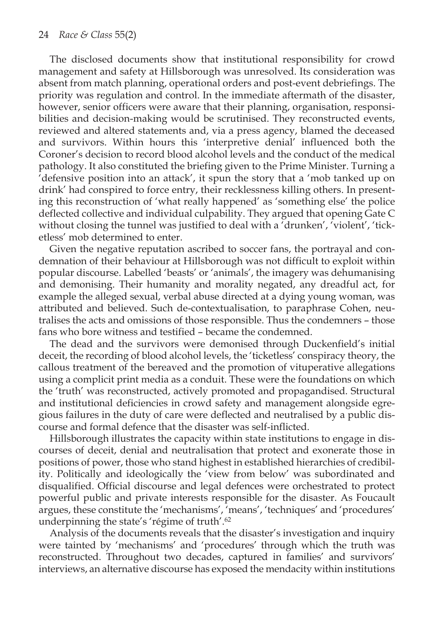The disclosed documents show that institutional responsibility for crowd management and safety at Hillsborough was unresolved. Its consideration was absent from match planning, operational orders and post-event debriefings. The priority was regulation and control. In the immediate aftermath of the disaster, however, senior officers were aware that their planning, organisation, responsibilities and decision-making would be scrutinised. They reconstructed events, reviewed and altered statements and, via a press agency, blamed the deceased and survivors. Within hours this 'interpretive denial' influenced both the Coroner's decision to record blood alcohol levels and the conduct of the medical pathology. It also constituted the briefing given to the Prime Minister. Turning a 'defensive position into an attack', it spun the story that a 'mob tanked up on drink' had conspired to force entry, their recklessness killing others. In presenting this reconstruction of 'what really happened' as 'something else' the police deflected collective and individual culpability. They argued that opening Gate C without closing the tunnel was justified to deal with a 'drunken', 'violent', 'ticketless' mob determined to enter.

Given the negative reputation ascribed to soccer fans, the portrayal and condemnation of their behaviour at Hillsborough was not difficult to exploit within popular discourse. Labelled 'beasts' or 'animals', the imagery was dehumanising and demonising. Their humanity and morality negated, any dreadful act, for example the alleged sexual, verbal abuse directed at a dying young woman, was attributed and believed. Such de-contextualisation, to paraphrase Cohen, neutralises the acts and omissions of those responsible. Thus the condemners – those fans who bore witness and testified – became the condemned.

The dead and the survivors were demonised through Duckenfield's initial deceit, the recording of blood alcohol levels, the 'ticketless' conspiracy theory, the callous treatment of the bereaved and the promotion of vituperative allegations using a complicit print media as a conduit. These were the foundations on which the 'truth' was reconstructed, actively promoted and propagandised. Structural and institutional deficiencies in crowd safety and management alongside egregious failures in the duty of care were deflected and neutralised by a public discourse and formal defence that the disaster was self-inflicted.

Hillsborough illustrates the capacity within state institutions to engage in discourses of deceit, denial and neutralisation that protect and exonerate those in positions of power, those who stand highest in established hierarchies of credibility. Politically and ideologically the 'view from below' was subordinated and disqualified. Official discourse and legal defences were orchestrated to protect powerful public and private interests responsible for the disaster. As Foucault argues, these constitute the 'mechanisms', 'means', 'techniques' and 'procedures' underpinning the state's 'régime of truth'.62

Analysis of the documents reveals that the disaster's investigation and inquiry were tainted by 'mechanisms' and 'procedures' through which the truth was reconstructed. Throughout two decades, captured in families' and survivors' interviews, an alternative discourse has exposed the mendacity within institutions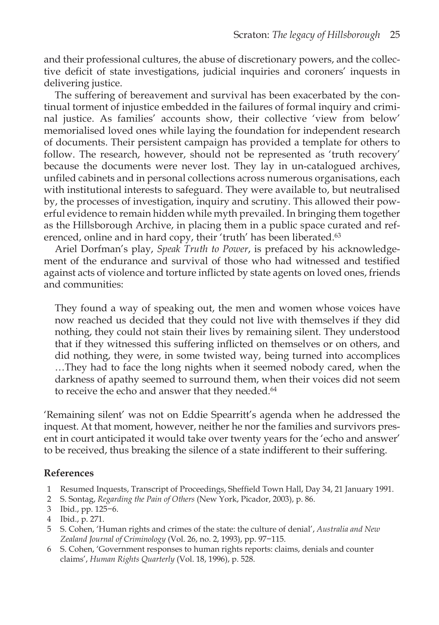and their professional cultures, the abuse of discretionary powers, and the collective deficit of state investigations, judicial inquiries and coroners' inquests in delivering justice.

The suffering of bereavement and survival has been exacerbated by the continual torment of injustice embedded in the failures of formal inquiry and criminal justice. As families' accounts show, their collective 'view from below' memorialised loved ones while laying the foundation for independent research of documents. Their persistent campaign has provided a template for others to follow. The research, however, should not be represented as 'truth recovery' because the documents were never lost. They lay in un-catalogued archives, unfiled cabinets and in personal collections across numerous organisations, each with institutional interests to safeguard. They were available to, but neutralised by, the processes of investigation, inquiry and scrutiny. This allowed their powerful evidence to remain hidden while myth prevailed. In bringing them together as the Hillsborough Archive, in placing them in a public space curated and referenced, online and in hard copy, their 'truth' has been liberated.<sup>63</sup>

Ariel Dorfman's play, *Speak Truth to Power*, is prefaced by his acknowledgement of the endurance and survival of those who had witnessed and testified against acts of violence and torture inflicted by state agents on loved ones, friends and communities:

They found a way of speaking out, the men and women whose voices have now reached us decided that they could not live with themselves if they did nothing, they could not stain their lives by remaining silent. They understood that if they witnessed this suffering inflicted on themselves or on others, and did nothing, they were, in some twisted way, being turned into accomplices …They had to face the long nights when it seemed nobody cared, when the darkness of apathy seemed to surround them, when their voices did not seem to receive the echo and answer that they needed.<sup>64</sup>

'Remaining silent' was not on Eddie Spearritt's agenda when he addressed the inquest. At that moment, however, neither he nor the families and survivors present in court anticipated it would take over twenty years for the 'echo and answer' to be received, thus breaking the silence of a state indifferent to their suffering.

# **References**

- 1 Resumed Inquests, Transcript of Proceedings, Sheffield Town Hall, Day 34, 21 January 1991.
- 2 S. Sontag, *Regarding the Pain of Others* (New York, Picador, 2003), p. 86.
- 3 Ibid., pp. 125−6.
- 4 Ibid., p. 271.
- 5 S. Cohen, 'Human rights and crimes of the state: the culture of denial', *Australia and New Zealand Journal of Criminology* (Vol. 26, no. 2, 1993), pp. 97−115.
- 6 S. Cohen, 'Government responses to human rights reports: claims, denials and counter claims', *Human Rights Quarterly* (Vol. 18, 1996), p. 528.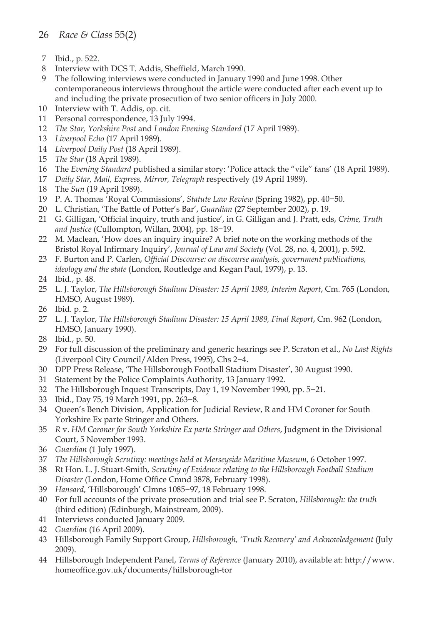- Ibid., p. 522.
- Interview with DCS T. Addis, Sheffield, March 1990.
- 9 The following interviews were conducted in January 1990 and June 1998. Other contemporaneous interviews throughout the article were conducted after each event up to and including the private prosecution of two senior officers in July 2000.
- Interview with T. Addis, op. cit.
- Personal correspondence, 13 July 1994.
- *The Star, Yorkshire Post* and *London Evening Standard* (17 April 1989).
- *Liverpool Echo* (17 April 1989).
- *Liverpool Daily Post* (18 April 1989).
- *The Star* (18 April 1989).
- 16 The *Evening Standard* published a similar story: 'Police attack the "vile" fans' (18 April 1989).
- *Daily Star, Mail, Express, Mirror, Telegraph* respectively (19 April 1989).
- 18 The *Sun* (19 April 1989).
- P. A. Thomas 'Royal Commissions', *Statute Law Review* (Spring 1982), pp. 40−50.
- L. Christian, 'The Battle of Potter's Bar', *Guardian* (27 September 2002), p. 19.
- G. Gilligan, 'Official inquiry, truth and justice', in G. Gilligan and J. Pratt, eds, *Crime, Truth and Justice* (Cullompton, Willan, 2004), pp. 18−19.
- M. Maclean, 'How does an inquiry inquire? A brief note on the working methods of the Bristol Royal Infirmary Inquiry', *Journal of Law and Society* (Vol. 28, no. 4, 2001), p. 592.
- F. Burton and P. Carlen, *Official Discourse: on discourse analysis, government publications, ideology and the state* (London, Routledge and Kegan Paul, 1979), p. 13.
- Ibid., p. 48.
- L. J. Taylor, *The Hillsborough Stadium Disaster: 15 April 1989, Interim Report*, Cm. 765 (London, HMSO, August 1989).
- Ibid. p. 2.
- L. J. Taylor, *The Hillsborough Stadium Disaster: 15 April 1989, Final Report*, Cm. 962 (London, HMSO, January 1990).
- Ibid., p. 50.
- For full discussion of the preliminary and generic hearings see P. Scraton et al., *No Last Rights* (Liverpool City Council/Alden Press, 1995), Chs 2−4.
- DPP Press Release, 'The Hillsborough Football Stadium Disaster', 30 August 1990.
- Statement by the Police Complaints Authority, 13 January 1992.
- 32 The Hillsborough Inquest Transcripts, Day 1, 19 November 1990, pp. 5−21.
- 33 Ibid., Day 75, 19 March 1991, pp. 263−8.
- Queen's Bench Division, Application for Judicial Review, R and HM Coroner for South Yorkshire Ex parte Stringer and Others.
- *R* v. *HM Coroner for South Yorkshire Ex parte Stringer and Others*, Judgment in the Divisional Court, 5 November 1993.
- *Guardian* (1 July 1997).
- *The Hillsborough Scrutiny: meetings held at Merseyside Maritime Museum*, 6 October 1997.
- Rt Hon. L. J. Stuart-Smith, *Scrutiny of Evidence relating to the Hillsborough Football Stadium Disaster* (London, Home Office Cmnd 3878, February 1998).
- *Hansard*, 'Hillsborough' Clmns 1085−97, 18 February 1998.
- For full accounts of the private prosecution and trial see P. Scraton, *Hillsborough: the truth* (third edition) (Edinburgh, Mainstream, 2009).
- Interviews conducted January 2009.
- *Guardian* (16 April 2009).
- 43 Hillsborough Family Support Group, *Hillsborough, 'Truth Recovery' and Acknowledgement* (July 2009).
- 44 Hillsborough Independent Panel, *Terms of Reference* (January 2010), available at: http://www. [homeoffice.gov.uk/documents/hillsborough-tor](http://www.homeoffice.gov.uk/documents/hillsborough-tor)